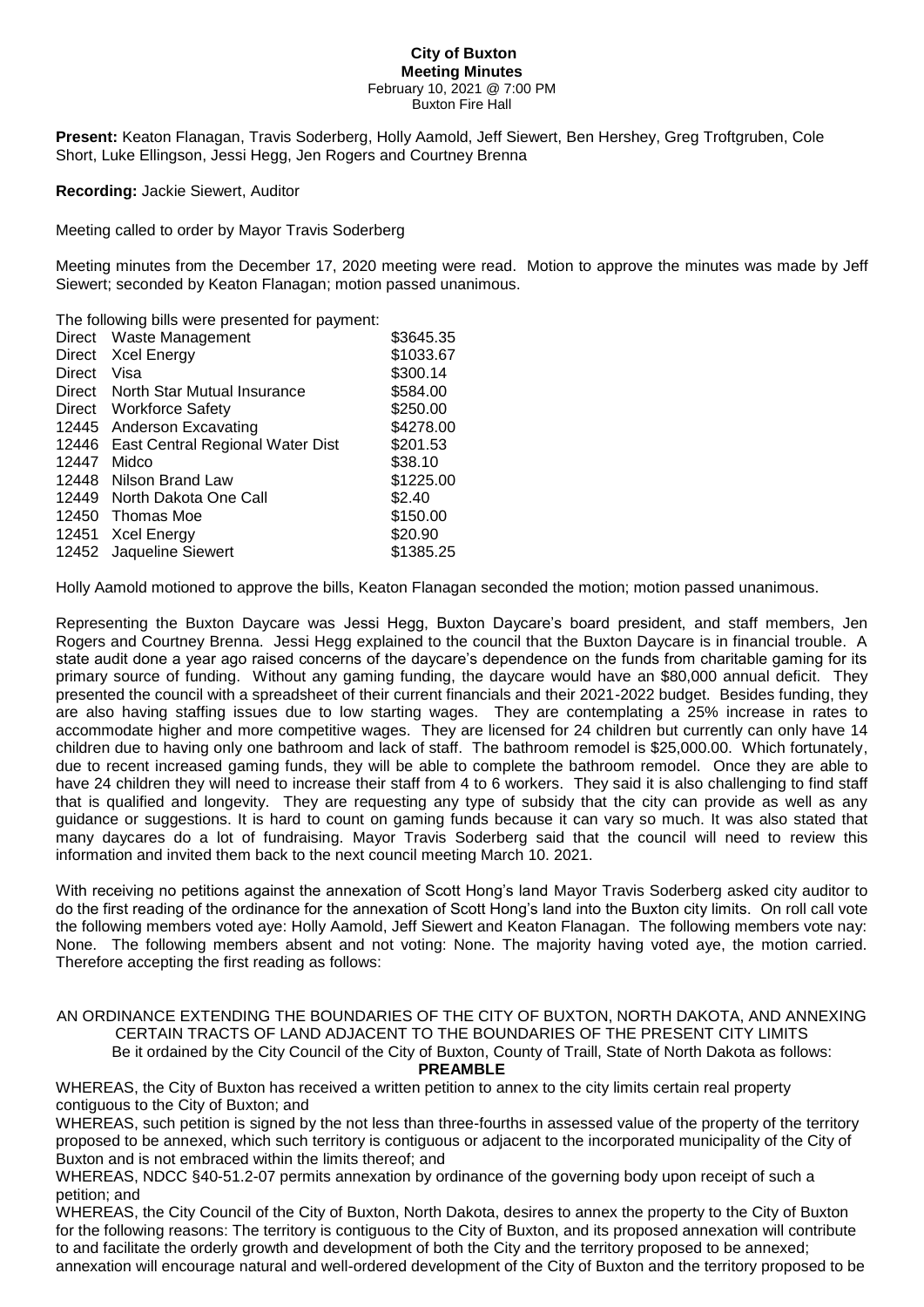## **City of Buxton Meeting Minutes** February 10, 2021 @ 7:00 PM Buxton Fire Hall

**Present:** Keaton Flanagan, Travis Soderberg, Holly Aamold, Jeff Siewert, Ben Hershey, Greg Troftgruben, Cole Short, Luke Ellingson, Jessi Hegg, Jen Rogers and Courtney Brenna

**Recording:** Jackie Siewert, Auditor

Meeting called to order by Mayor Travis Soderberg

Meeting minutes from the December 17, 2020 meeting were read. Motion to approve the minutes was made by Jeff Siewert; seconded by Keaton Flanagan; motion passed unanimous.

The following bills were presented for payment:

|               | Direct Waste Management                | \$3645.35 |
|---------------|----------------------------------------|-----------|
| Direct        | <b>Xcel Energy</b>                     | \$1033.67 |
| <b>Direct</b> | Visa                                   | \$300.14  |
| Direct        | North Star Mutual Insurance            | \$584.00  |
|               | Direct Workforce Safety                | \$250.00  |
|               | 12445 Anderson Excavating              | \$4278.00 |
|               | 12446 East Central Regional Water Dist | \$201.53  |
| 12447         | Midco                                  | \$38.10   |
| 12448         | Nilson Brand Law                       | \$1225.00 |
| 12449         | North Dakota One Call                  | \$2.40    |
| 12450         | Thomas Moe                             | \$150.00  |
| 12451         | <b>Xcel Energy</b>                     | \$20.90   |
|               | 12452 Jaqueline Siewert                | \$1385.25 |

Holly Aamold motioned to approve the bills, Keaton Flanagan seconded the motion; motion passed unanimous.

Representing the Buxton Daycare was Jessi Hegg, Buxton Daycare's board president, and staff members, Jen Rogers and Courtney Brenna. Jessi Hegg explained to the council that the Buxton Daycare is in financial trouble. A state audit done a year ago raised concerns of the daycare's dependence on the funds from charitable gaming for its primary source of funding. Without any gaming funding, the daycare would have an \$80,000 annual deficit. They presented the council with a spreadsheet of their current financials and their 2021-2022 budget. Besides funding, they are also having staffing issues due to low starting wages. They are contemplating a 25% increase in rates to accommodate higher and more competitive wages. They are licensed for 24 children but currently can only have 14 children due to having only one bathroom and lack of staff. The bathroom remodel is \$25,000.00. Which fortunately, due to recent increased gaming funds, they will be able to complete the bathroom remodel. Once they are able to have 24 children they will need to increase their staff from 4 to 6 workers. They said it is also challenging to find staff that is qualified and longevity. They are requesting any type of subsidy that the city can provide as well as any guidance or suggestions. It is hard to count on gaming funds because it can vary so much. It was also stated that many daycares do a lot of fundraising. Mayor Travis Soderberg said that the council will need to review this information and invited them back to the next council meeting March 10. 2021.

With receiving no petitions against the annexation of Scott Hong's land Mayor Travis Soderberg asked city auditor to do the first reading of the ordinance for the annexation of Scott Hong's land into the Buxton city limits. On roll call vote the following members voted aye: Holly Aamold, Jeff Siewert and Keaton Flanagan. The following members vote nay: None. The following members absent and not voting: None. The majority having voted aye, the motion carried. Therefore accepting the first reading as follows:

## AN ORDINANCE EXTENDING THE BOUNDARIES OF THE CITY OF BUXTON, NORTH DAKOTA, AND ANNEXING CERTAIN TRACTS OF LAND ADJACENT TO THE BOUNDARIES OF THE PRESENT CITY LIMITS Be it ordained by the City Council of the City of Buxton, County of Traill, State of North Dakota as follows: **PREAMBLE**

WHEREAS, the City of Buxton has received a written petition to annex to the city limits certain real property contiguous to the City of Buxton; and

WHEREAS, such petition is signed by the not less than three-fourths in assessed value of the property of the territory proposed to be annexed, which such territory is contiguous or adjacent to the incorporated municipality of the City of Buxton and is not embraced within the limits thereof; and

WHEREAS, NDCC §40-51.2-07 permits annexation by ordinance of the governing body upon receipt of such a petition; and

WHEREAS, the City Council of the City of Buxton, North Dakota, desires to annex the property to the City of Buxton for the following reasons: The territory is contiguous to the City of Buxton, and its proposed annexation will contribute to and facilitate the orderly growth and development of both the City and the territory proposed to be annexed; annexation will encourage natural and well-ordered development of the City of Buxton and the territory proposed to be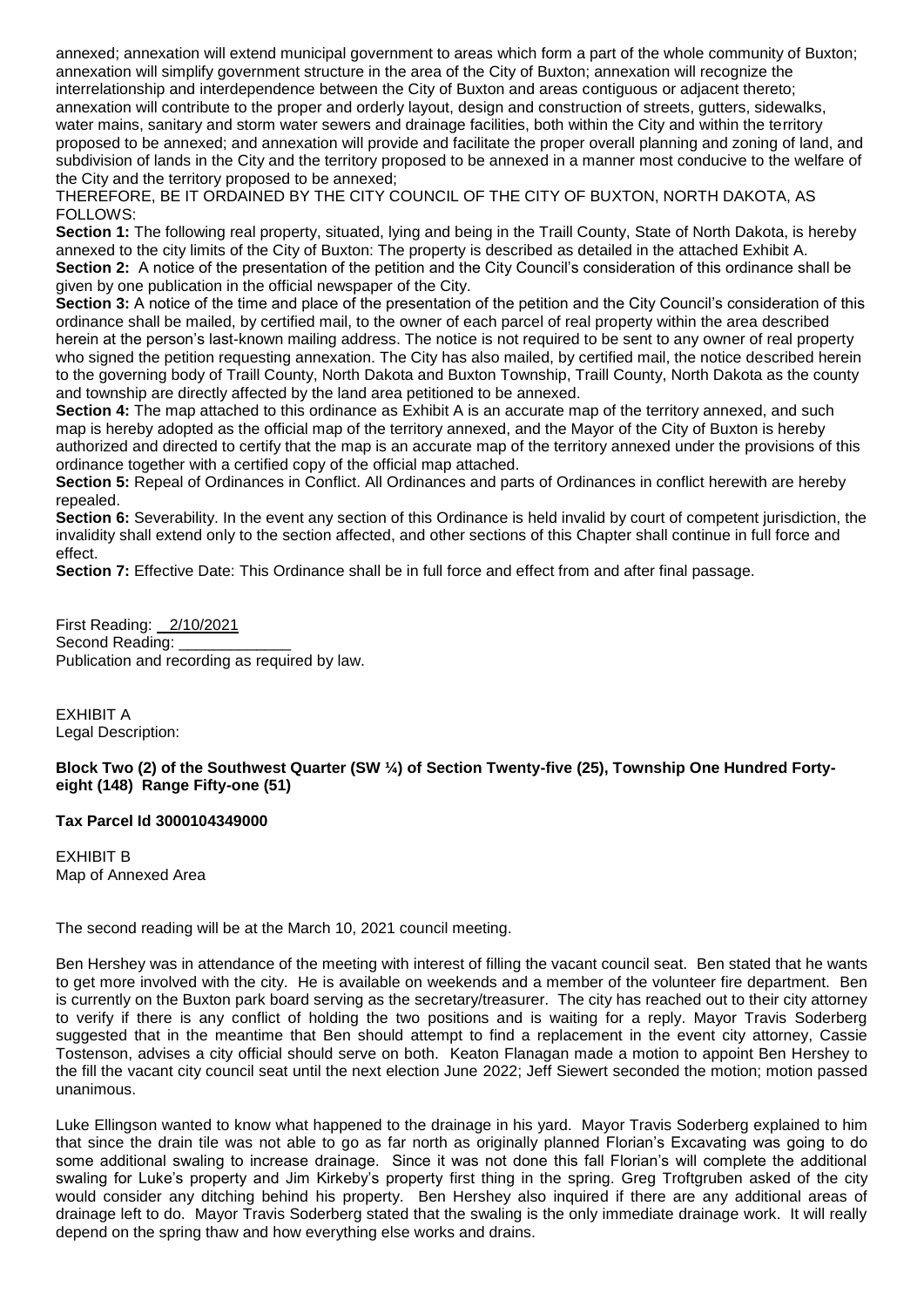annexed; annexation will extend municipal government to areas which form a part of the whole community of Buxton; annexation will simplify government structure in the area of the City of Buxton; annexation will recognize the interrelationship and interdependence between the City of Buxton and areas contiguous or adjacent thereto; annexation will contribute to the proper and orderly layout, design and construction of streets, gutters, sidewalks, water mains, sanitary and storm water sewers and drainage facilities, both within the City and within the territory proposed to be annexed; and annexation will provide and facilitate the proper overall planning and zoning of land, and subdivision of lands in the City and the territory proposed to be annexed in a manner most conducive to the welfare of the City and the territory proposed to be annexed;

THEREFORE, BE IT ORDAINED BY THE CITY COUNCIL OF THE CITY OF BUXTON, NORTH DAKOTA, AS FOLLOWS:

**Section 1:** The following real property, situated, lying and being in the Traill County, State of North Dakota, is hereby annexed to the city limits of the City of Buxton: The property is described as detailed in the attached Exhibit A. **Section 2:** A notice of the presentation of the petition and the City Council's consideration of this ordinance shall be given by one publication in the official newspaper of the City.

**Section 3:** A notice of the time and place of the presentation of the petition and the City Council's consideration of this ordinance shall be mailed, by certified mail, to the owner of each parcel of real property within the area described herein at the person's last-known mailing address. The notice is not required to be sent to any owner of real property who signed the petition requesting annexation. The City has also mailed, by certified mail, the notice described herein to the governing body of Traill County, North Dakota and Buxton Township, Traill County, North Dakota as the county and township are directly affected by the land area petitioned to be annexed.

**Section 4:** The map attached to this ordinance as Exhibit A is an accurate map of the territory annexed, and such map is hereby adopted as the official map of the territory annexed, and the Mayor of the City of Buxton is hereby authorized and directed to certify that the map is an accurate map of the territory annexed under the provisions of this ordinance together with a certified copy of the official map attached.

**Section 5:** Repeal of Ordinances in Conflict. All Ordinances and parts of Ordinances in conflict herewith are hereby repealed.

**Section 6:** Severability. In the event any section of this Ordinance is held invalid by court of competent jurisdiction, the invalidity shall extend only to the section affected, and other sections of this Chapter shall continue in full force and effect.

**Section 7:** Effective Date: This Ordinance shall be in full force and effect from and after final passage.

First Reading: 2/10/2021 Second Reading: Publication and recording as required by law.

EXHIBIT A Legal Description:

## **Block Two (2) of the Southwest Quarter (SW ¼) of Section Twenty-five (25), Township One Hundred Fortyeight (148) Range Fifty-one (51)**

## **Tax Parcel Id 3000104349000**

EXHIBIT B Map of Annexed Area

The second reading will be at the March 10, 2021 council meeting.

Ben Hershey was in attendance of the meeting with interest of filling the vacant council seat. Ben stated that he wants to get more involved with the city. He is available on weekends and a member of the volunteer fire department. Ben is currently on the Buxton park board serving as the secretary/treasurer. The city has reached out to their city attorney to verify if there is any conflict of holding the two positions and is waiting for a reply. Mayor Travis Soderberg suggested that in the meantime that Ben should attempt to find a replacement in the event city attorney, Cassie Tostenson, advises a city official should serve on both. Keaton Flanagan made a motion to appoint Ben Hershey to the fill the vacant city council seat until the next election June 2022; Jeff Siewert seconded the motion; motion passed unanimous.

Luke Ellingson wanted to know what happened to the drainage in his yard. Mayor Travis Soderberg explained to him that since the drain tile was not able to go as far north as originally planned Florian's Excavating was going to do some additional swaling to increase drainage. Since it was not done this fall Florian's will complete the additional swaling for Luke's property and Jim Kirkeby's property first thing in the spring. Greg Troftgruben asked of the city would consider any ditching behind his property. Ben Hershey also inquired if there are any additional areas of drainage left to do. Mayor Travis Soderberg stated that the swaling is the only immediate drainage work. It will really depend on the spring thaw and how everything else works and drains.